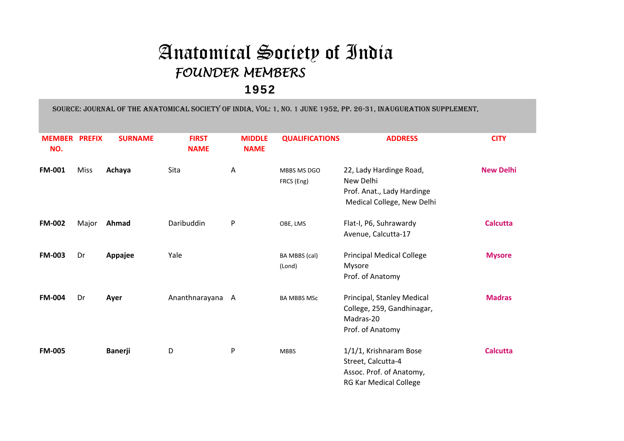## Anatomical Society of Indi a FOUNDER MEMBERS

## 1952

SOURCE: JOURNAL OF THE ANATOMICAL SOCIETY OF INDIA, VOL: 1, NO. 1 JUNE 1952, PP. 26-31, INAUGURATION SUPPLEMENT,

| <b>MEMBER</b><br>NO. | <b>PREFIX</b> | <b>SURNAME</b> | <b>FIRST</b><br><b>NAME</b> | <b>MIDDLE</b><br><b>NAME</b> | <b>QUALIFICATIONS</b>     | <b>ADDRESS</b>                                                                                            | <b>CITY</b>      |
|----------------------|---------------|----------------|-----------------------------|------------------------------|---------------------------|-----------------------------------------------------------------------------------------------------------|------------------|
| <b>FM-001</b>        | <b>Miss</b>   | Achaya         | Sita                        | A                            | MBBS MS DGO<br>FRCS (Eng) | 22, Lady Hardinge Road,<br>New Delhi<br>Prof. Anat., Lady Hardinge<br>Medical College, New Delhi          | <b>New Delhi</b> |
| <b>FM-002</b>        | Major         | Ahmad          | Daribuddin                  | P                            | OBE, LMS                  | Flat-I, P6, Suhrawardy<br>Avenue, Calcutta-17                                                             | <b>Calcutta</b>  |
| <b>FM-003</b>        | Dr            | Appajee        | Yale                        |                              | BA MBBS (cal)<br>(Lond)   | <b>Principal Medical College</b><br>Mysore<br>Prof. of Anatomy                                            | <b>Mysore</b>    |
| <b>FM-004</b>        | Dr            | Ayer           | Ananthnarayana A            |                              | <b>BA MBBS MSc</b>        | Principal, Stanley Medical<br>College, 259, Gandhinagar,<br>Madras-20<br>Prof. of Anatomy                 | <b>Madras</b>    |
| <b>FM-005</b>        |               | <b>Banerji</b> | D                           | P                            | <b>MBBS</b>               | 1/1/1, Krishnaram Bose<br>Street, Calcutta-4<br>Assoc. Prof. of Anatomy,<br><b>RG Kar Medical College</b> | <b>Calcutta</b>  |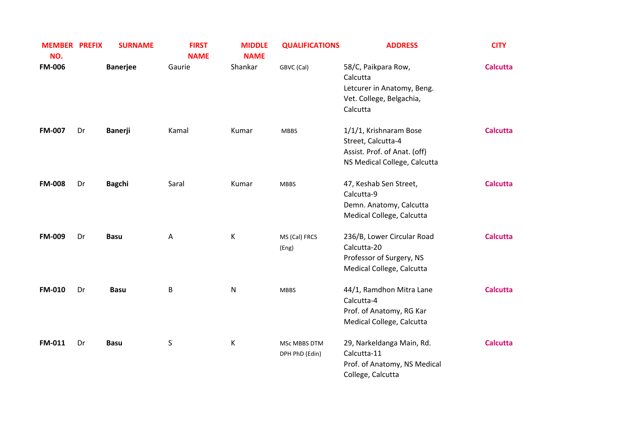| <b>MEMBER PREFIX</b><br>NO. |    | <b>SURNAME</b>  | <b>FIRST</b><br><b>NAME</b> | <b>MIDDLE</b><br><b>NAME</b> | <b>QUALIFICATIONS</b>          | <b>ADDRESS</b>                                                                                               | <b>CITY</b>     |
|-----------------------------|----|-----------------|-----------------------------|------------------------------|--------------------------------|--------------------------------------------------------------------------------------------------------------|-----------------|
| <b>FM-006</b>               |    | <b>Banerjee</b> | Gaurie                      | Shankar                      | GBVC (Cal)                     | 58/C, Paikpara Row,<br>Calcutta<br>Letcurer in Anatomy, Beng.<br>Vet. College, Belgachia,<br>Calcutta        | <b>Calcutta</b> |
| <b>FM-007</b>               | Dr | <b>Banerji</b>  | Kamal                       | Kumar                        | <b>MBBS</b>                    | 1/1/1, Krishnaram Bose<br>Street, Calcutta-4<br>Assist. Prof. of Anat. (off)<br>NS Medical College, Calcutta | <b>Calcutta</b> |
| <b>FM-008</b>               | Dr | <b>Bagchi</b>   | Saral                       | Kumar                        | <b>MBBS</b>                    | 47, Keshab Sen Street,<br>Calcutta-9<br>Demn. Anatomy, Calcutta<br>Medical College, Calcutta                 | <b>Calcutta</b> |
| FM-009                      | Dr | <b>Basu</b>     | Α                           | K                            | MS (Cal) FRCS<br>(Eng)         | 236/B, Lower Circular Road<br>Calcutta-20<br>Professor of Surgery, NS<br>Medical College, Calcutta           | <b>Calcutta</b> |
| FM-010                      | Dr | <b>Basu</b>     | B                           | ${\sf N}$                    | <b>MBBS</b>                    | 44/1, Ramdhon Mitra Lane<br>Calcutta-4<br>Prof. of Anatomy, RG Kar<br>Medical College, Calcutta              | <b>Calcutta</b> |
| <b>FM-011</b>               | Dr | <b>Basu</b>     | $\sf S$                     | К                            | MSc MBBS DTM<br>DPH PhD (Edin) | 29, Narkeldanga Main, Rd.<br>Calcutta-11<br>Prof. of Anatomy, NS Medical<br>College, Calcutta                | <b>Calcutta</b> |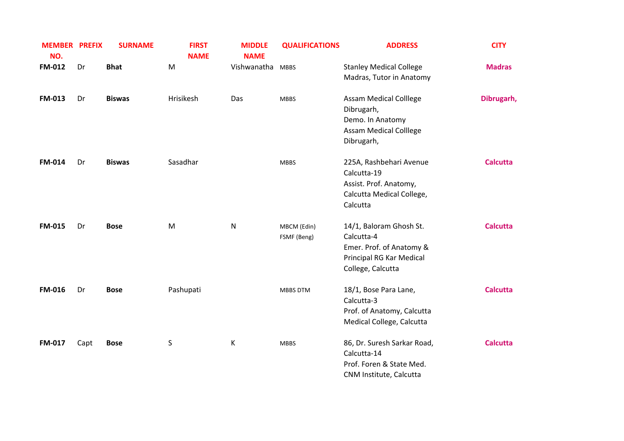| <b>MEMBER PREFIX</b><br>NO. |      | <b>SURNAME</b> | <b>FIRST</b><br><b>NAME</b> | <b>MIDDLE</b><br><b>NAME</b> | <b>QUALIFICATIONS</b>      | <b>ADDRESS</b>                                                                                                     | <b>CITY</b>     |
|-----------------------------|------|----------------|-----------------------------|------------------------------|----------------------------|--------------------------------------------------------------------------------------------------------------------|-----------------|
| FM-012                      | Dr   | <b>Bhat</b>    | M                           | Vishwanatha                  | <b>MBBS</b>                | <b>Stanley Medical College</b><br>Madras, Tutor in Anatomy                                                         | <b>Madras</b>   |
| FM-013                      | Dr   | <b>Biswas</b>  | Hrisikesh                   | Das                          | <b>MBBS</b>                | <b>Assam Medical Colllege</b><br>Dibrugarh,<br>Demo. In Anatomy<br><b>Assam Medical Colllege</b><br>Dibrugarh,     | Dibrugarh,      |
| <b>FM-014</b>               | Dr   | <b>Biswas</b>  | Sasadhar                    |                              | <b>MBBS</b>                | 225A, Rashbehari Avenue<br>Calcutta-19<br>Assist. Prof. Anatomy,<br>Calcutta Medical College,<br>Calcutta          | <b>Calcutta</b> |
| <b>FM-015</b>               | Dr   | <b>Bose</b>    | ${\sf M}$                   | N                            | MBCM (Edin)<br>FSMF (Beng) | 14/1, Baloram Ghosh St.<br>Calcutta-4<br>Emer. Prof. of Anatomy &<br>Principal RG Kar Medical<br>College, Calcutta | <b>Calcutta</b> |
| <b>FM-016</b>               | Dr   | <b>Bose</b>    | Pashupati                   |                              | MBBS DTM                   | 18/1, Bose Para Lane,<br>Calcutta-3<br>Prof. of Anatomy, Calcutta<br>Medical College, Calcutta                     | <b>Calcutta</b> |
| FM-017                      | Capt | <b>Bose</b>    | S                           | К                            | <b>MBBS</b>                | 86, Dr. Suresh Sarkar Road,<br>Calcutta-14<br>Prof. Foren & State Med.<br>CNM Institute, Calcutta                  | <b>Calcutta</b> |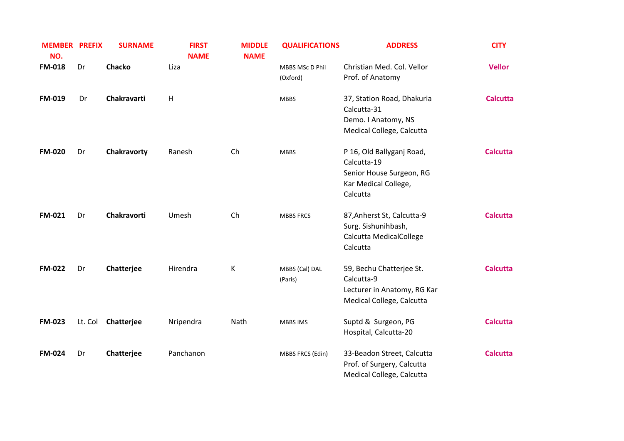| <b>MEMBER PREFIX</b><br>NO. |         | <b>SURNAME</b> | <b>FIRST</b><br><b>NAME</b> | <b>MIDDLE</b><br><b>NAME</b> | <b>QUALIFICATIONS</b>       | <b>ADDRESS</b>                                                                                           | <b>CITY</b>     |
|-----------------------------|---------|----------------|-----------------------------|------------------------------|-----------------------------|----------------------------------------------------------------------------------------------------------|-----------------|
| <b>FM-018</b>               | Dr      | Chacko         | Liza                        |                              | MBBS MSc D Phil<br>(Oxford) | Christian Med. Col. Vellor<br>Prof. of Anatomy                                                           | <b>Vellor</b>   |
| <b>FM-019</b>               | Dr      | Chakravarti    | $\mathsf{H}$                |                              | <b>MBBS</b>                 | 37, Station Road, Dhakuria<br>Calcutta-31<br>Demo. I Anatomy, NS<br>Medical College, Calcutta            | <b>Calcutta</b> |
| <b>FM-020</b>               | Dr      | Chakravorty    | Ranesh                      | Ch                           | <b>MBBS</b>                 | P 16, Old Ballyganj Road,<br>Calcutta-19<br>Senior House Surgeon, RG<br>Kar Medical College,<br>Calcutta | <b>Calcutta</b> |
| <b>FM-021</b>               | Dr      | Chakravorti    | Umesh                       | Ch                           | <b>MBBS FRCS</b>            | 87, Anherst St, Calcutta-9<br>Surg. Sishunihbash,<br>Calcutta MedicalCollege<br>Calcutta                 | <b>Calcutta</b> |
| <b>FM-022</b>               | Dr      | Chatterjee     | Hirendra                    | К                            | MBBS (Cal) DAL<br>(Paris)   | 59, Bechu Chatterjee St.<br>Calcutta-9<br>Lecturer in Anatomy, RG Kar<br>Medical College, Calcutta       | <b>Calcutta</b> |
| <b>FM-023</b>               | Lt. Col | Chatterjee     | Nripendra                   | Nath                         | <b>MBBS IMS</b>             | Suptd & Surgeon, PG<br>Hospital, Calcutta-20                                                             | <b>Calcutta</b> |
| <b>FM-024</b>               | Dr      | Chatterjee     | Panchanon                   |                              | MBBS FRCS (Edin)            | 33-Beadon Street, Calcutta<br>Prof. of Surgery, Calcutta<br>Medical College, Calcutta                    | <b>Calcutta</b> |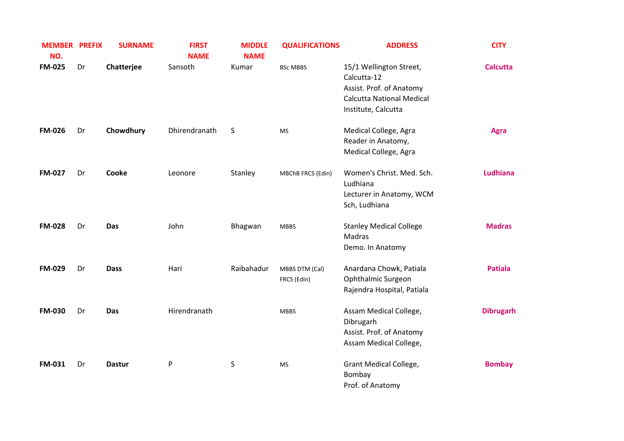| <b>MEMBER PREFIX</b><br>NO. |    | <b>SURNAME</b> | <b>FIRST</b><br><b>NAME</b> | <b>MIDDLE</b><br><b>NAME</b> | <b>QUALIFICATIONS</b>         | <b>ADDRESS</b>                                                                                                                | <b>CITY</b>      |
|-----------------------------|----|----------------|-----------------------------|------------------------------|-------------------------------|-------------------------------------------------------------------------------------------------------------------------------|------------------|
| <b>FM-025</b>               | Dr | Chatterjee     | Sansoth                     | Kumar                        | <b>BSc MBBS</b>               | 15/1 Wellington Street,<br>Calcutta-12<br>Assist. Prof. of Anatomy<br><b>Calcutta National Medical</b><br>Institute, Calcutta | <b>Calcutta</b>  |
| <b>FM-026</b>               | Dr | Chowdhury      | Dhirendranath               | S                            | <b>MS</b>                     | Medical College, Agra<br>Reader in Anatomy,<br>Medical College, Agra                                                          | <b>Agra</b>      |
| <b>FM-027</b>               | Dr | Cooke          | Leonore                     | Stanley                      | MBChB FRCS (Edin)             | Women's Christ. Med. Sch.<br>Ludhiana<br>Lecturer in Anatomy, WCM<br>Sch, Ludhiana                                            | <b>Ludhiana</b>  |
| <b>FM-028</b>               | Dr | Das            | John                        | Bhagwan                      | <b>MBBS</b>                   | <b>Stanley Medical College</b><br>Madras<br>Demo. In Anatomy                                                                  | <b>Madras</b>    |
| <b>FM-029</b>               | Dr | <b>Dass</b>    | Hari                        | Raibahadur                   | MBBS DTM (Cal)<br>FRCS (Edin) | Anardana Chowk, Patiala<br>Ophthalmic Surgeon<br>Rajendra Hospital, Patiala                                                   | <b>Patiala</b>   |
| <b>FM-030</b>               | Dr | Das            | Hirendranath                |                              | <b>MBBS</b>                   | Assam Medical College,<br>Dibrugarh<br>Assist. Prof. of Anatomy<br>Assam Medical College,                                     | <b>Dibrugarh</b> |
| <b>FM-031</b>               | Dr | <b>Dastur</b>  | ${\sf P}$                   | $\sf S$                      | MS                            | <b>Grant Medical College,</b><br>Bombay<br>Prof. of Anatomy                                                                   | <b>Bombay</b>    |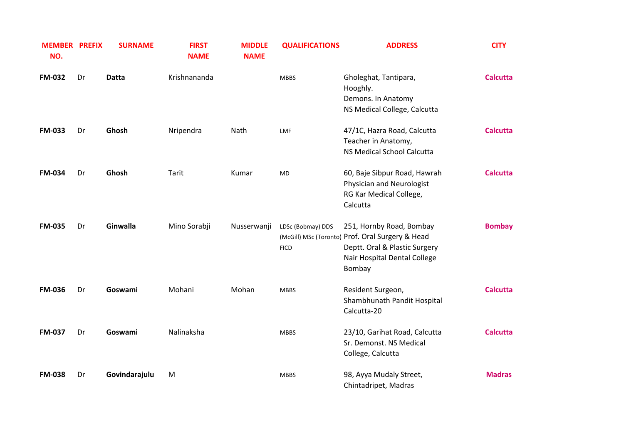| <b>MEMBER PREFIX</b><br>NO. |    | <b>SURNAME</b> | <b>FIRST</b><br><b>NAME</b> | <b>MIDDLE</b><br><b>NAME</b> | <b>QUALIFICATIONS</b>            | <b>ADDRESS</b>                                                                                                                                          | <b>CITY</b>     |
|-----------------------------|----|----------------|-----------------------------|------------------------------|----------------------------------|---------------------------------------------------------------------------------------------------------------------------------------------------------|-----------------|
| <b>FM-032</b>               | Dr | <b>Datta</b>   | Krishnananda                |                              | <b>MBBS</b>                      | Gholeghat, Tantipara,<br>Hooghly.<br>Demons. In Anatomy<br>NS Medical College, Calcutta                                                                 | <b>Calcutta</b> |
| <b>FM-033</b>               | Dr | Ghosh          | Nripendra                   | Nath                         | LMF                              | 47/1C, Hazra Road, Calcutta<br>Teacher in Anatomy,<br><b>NS Medical School Calcutta</b>                                                                 | <b>Calcutta</b> |
| <b>FM-034</b>               | Dr | Ghosh          | Tarit                       | Kumar                        | <b>MD</b>                        | 60, Baje Sibpur Road, Hawrah<br>Physician and Neurologist<br>RG Kar Medical College,<br>Calcutta                                                        | <b>Calcutta</b> |
| <b>FM-035</b>               | Dr | Ginwalla       | Mino Sorabji                | Nusserwanji                  | LDSc (Bobmay) DDS<br><b>FICD</b> | 251, Hornby Road, Bombay<br>(McGill) MSc (Toronto) Prof. Oral Surgery & Head<br>Deptt. Oral & Plastic Surgery<br>Nair Hospital Dental College<br>Bombay | <b>Bombay</b>   |
| <b>FM-036</b>               | Dr | Goswami        | Mohani                      | Mohan                        | <b>MBBS</b>                      | Resident Surgeon,<br>Shambhunath Pandit Hospital<br>Calcutta-20                                                                                         | <b>Calcutta</b> |
| <b>FM-037</b>               | Dr | Goswami        | Nalinaksha                  |                              | <b>MBBS</b>                      | 23/10, Garihat Road, Calcutta<br>Sr. Demonst. NS Medical<br>College, Calcutta                                                                           | <b>Calcutta</b> |
| <b>FM-038</b>               | Dr | Govindarajulu  | M                           |                              | <b>MBBS</b>                      | 98, Ayya Mudaly Street,<br>Chintadripet, Madras                                                                                                         | <b>Madras</b>   |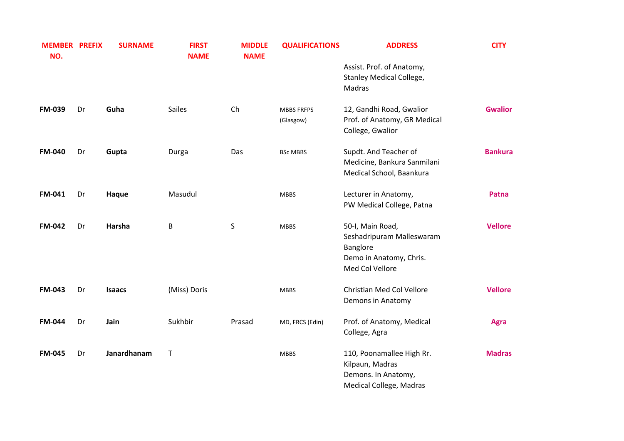| <b>MEMBER PREFIX</b><br>NO. |    | <b>SURNAME</b> | <b>FIRST</b><br><b>NAME</b> | <b>MIDDLE</b><br><b>NAME</b> | <b>QUALIFICATIONS</b> | <b>ADDRESS</b>                                          | <b>CITY</b>    |
|-----------------------------|----|----------------|-----------------------------|------------------------------|-----------------------|---------------------------------------------------------|----------------|
|                             |    |                |                             |                              |                       | Assist. Prof. of Anatomy,                               |                |
|                             |    |                |                             |                              |                       | Stanley Medical College,<br>Madras                      |                |
| <b>FM-039</b>               | Dr | Guha           | <b>Sailes</b>               | Ch                           | <b>MBBS FRFPS</b>     | 12, Gandhi Road, Gwalior                                | <b>Gwalior</b> |
|                             |    |                |                             |                              | (Glasgow)             | Prof. of Anatomy, GR Medical<br>College, Gwalior        |                |
| <b>FM-040</b>               | Dr | Gupta          | Durga                       | Das                          | <b>BSc MBBS</b>       | Supdt. And Teacher of                                   | <b>Bankura</b> |
|                             |    |                |                             |                              |                       | Medicine, Bankura Sanmilani<br>Medical School, Baankura |                |
| <b>FM-041</b>               | Dr | Haque          | Masudul                     |                              | <b>MBBS</b>           | Lecturer in Anatomy,                                    | Patna          |
|                             |    |                |                             |                              |                       | PW Medical College, Patna                               |                |
| <b>FM-042</b>               | Dr | Harsha         | B                           | S                            | <b>MBBS</b>           | 50-I, Main Road,                                        | <b>Vellore</b> |
|                             |    |                |                             |                              |                       | Seshadripuram Malleswaram<br>Banglore                   |                |
|                             |    |                |                             |                              |                       | Demo in Anatomy, Chris.                                 |                |
|                             |    |                |                             |                              |                       | Med Col Vellore                                         |                |
| <b>FM-043</b>               | Dr | <b>Isaacs</b>  | (Miss) Doris                |                              | <b>MBBS</b>           | Christian Med Col Vellore<br>Demons in Anatomy          | <b>Vellore</b> |
| <b>FM-044</b>               | Dr | Jain           | Sukhbir                     | Prasad                       | MD, FRCS (Edin)       | Prof. of Anatomy, Medical                               | <b>Agra</b>    |
|                             |    |                |                             |                              |                       | College, Agra                                           |                |
| <b>FM-045</b>               | Dr | Janardhanam    | $\mathsf T$                 |                              | <b>MBBS</b>           | 110, Poonamallee High Rr.                               | <b>Madras</b>  |
|                             |    |                |                             |                              |                       | Kilpaun, Madras                                         |                |
|                             |    |                |                             |                              |                       | Demons. In Anatomy,<br>Medical College, Madras          |                |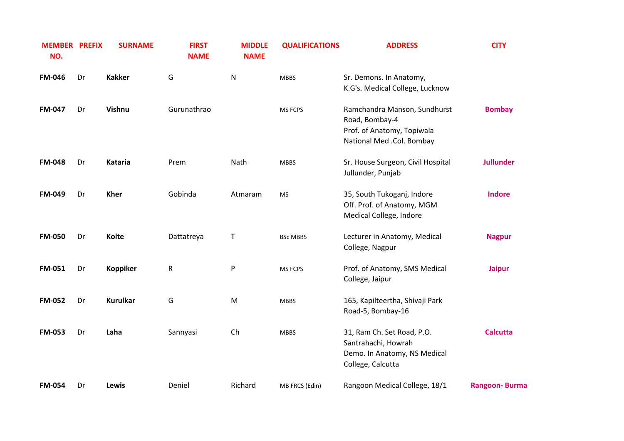| <b>MEMBER PREFIX</b><br>NO. |    | <b>SURNAME</b>  | <b>FIRST</b><br><b>NAME</b> | <b>MIDDLE</b><br><b>NAME</b> | <b>QUALIFICATIONS</b> | <b>ADDRESS</b>                                                                                            | <b>CITY</b>          |
|-----------------------------|----|-----------------|-----------------------------|------------------------------|-----------------------|-----------------------------------------------------------------------------------------------------------|----------------------|
| <b>FM-046</b>               | Dr | <b>Kakker</b>   | G                           | N                            | <b>MBBS</b>           | Sr. Demons. In Anatomy,<br>K.G's. Medical College, Lucknow                                                |                      |
| <b>FM-047</b>               | Dr | Vishnu          | Gurunathrao                 |                              | <b>MS FCPS</b>        | Ramchandra Manson, Sundhurst<br>Road, Bombay-4<br>Prof. of Anatomy, Topiwala<br>National Med .Col. Bombay | <b>Bombay</b>        |
| <b>FM-048</b>               | Dr | Kataria         | Prem                        | Nath                         | <b>MBBS</b>           | Sr. House Surgeon, Civil Hospital<br>Jullunder, Punjab                                                    | <b>Jullunder</b>     |
| <b>FM-049</b>               | Dr | <b>Kher</b>     | Gobinda                     | Atmaram                      | <b>MS</b>             | 35, South Tukoganj, Indore<br>Off. Prof. of Anatomy, MGM<br>Medical College, Indore                       | <b>Indore</b>        |
| <b>FM-050</b>               | Dr | <b>Kolte</b>    | Dattatreya                  | Τ                            | <b>BSc MBBS</b>       | Lecturer in Anatomy, Medical<br>College, Nagpur                                                           | <b>Nagpur</b>        |
| <b>FM-051</b>               | Dr | <b>Koppiker</b> | ${\sf R}$                   | P                            | <b>MS FCPS</b>        | Prof. of Anatomy, SMS Medical<br>College, Jaipur                                                          | <b>Jaipur</b>        |
| <b>FM-052</b>               | Dr | <b>Kurulkar</b> | G                           | M                            | <b>MBBS</b>           | 165, Kapilteertha, Shivaji Park<br>Road-5, Bombay-16                                                      |                      |
| <b>FM-053</b>               | Dr | Laha            | Sannyasi                    | Ch                           | <b>MBBS</b>           | 31, Ram Ch. Set Road, P.O.<br>Santrahachi, Howrah<br>Demo. In Anatomy, NS Medical<br>College, Calcutta    | <b>Calcutta</b>      |
| <b>FM-054</b>               | Dr | Lewis           | Deniel                      | Richard                      | MB FRCS (Edin)        | Rangoon Medical College, 18/1                                                                             | <b>Rangoon-Burma</b> |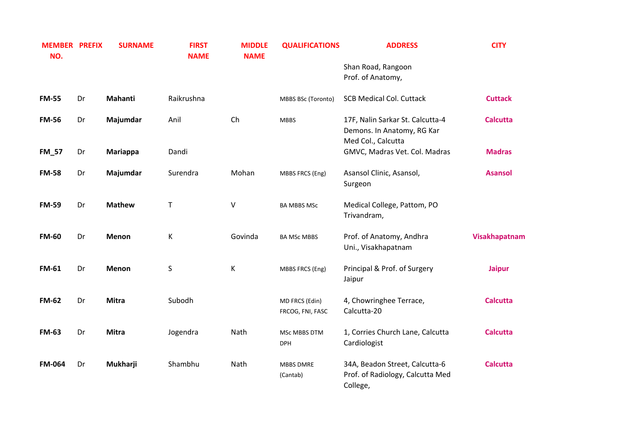| <b>MEMBER PREFIX</b><br>NO. |    | <b>SURNAME</b> | <b>FIRST</b><br><b>NAME</b> | <b>MIDDLE</b><br><b>NAME</b> | <b>QUALIFICATIONS</b>              | <b>ADDRESS</b>                                                                       | <b>CITY</b>     |
|-----------------------------|----|----------------|-----------------------------|------------------------------|------------------------------------|--------------------------------------------------------------------------------------|-----------------|
|                             |    |                |                             |                              |                                    | Shan Road, Rangoon                                                                   |                 |
|                             |    |                |                             |                              |                                    | Prof. of Anatomy,                                                                    |                 |
| <b>FM-55</b>                | Dr | Mahanti        | Raikrushna                  |                              | MBBS BSc (Toronto)                 | <b>SCB Medical Col. Cuttack</b>                                                      | <b>Cuttack</b>  |
| <b>FM-56</b>                | Dr | Majumdar       | Anil                        | Ch                           | <b>MBBS</b>                        | 17F, Nalin Sarkar St. Calcutta-4<br>Demons. In Anatomy, RG Kar<br>Med Col., Calcutta | <b>Calcutta</b> |
| <b>FM_57</b>                | Dr | Mariappa       | Dandi                       |                              |                                    | GMVC, Madras Vet. Col. Madras                                                        | <b>Madras</b>   |
| <b>FM-58</b>                | Dr | Majumdar       | Surendra                    | Mohan                        | MBBS FRCS (Eng)                    | Asansol Clinic, Asansol,<br>Surgeon                                                  | <b>Asansol</b>  |
| <b>FM-59</b>                | Dr | <b>Mathew</b>  | Τ                           | $\vee$                       | <b>BA MBBS MSc</b>                 | Medical College, Pattom, PO<br>Trivandram,                                           |                 |
| <b>FM-60</b>                | Dr | Menon          | К                           | Govinda                      | <b>BA MSc MBBS</b>                 | Prof. of Anatomy, Andhra<br>Uni., Visakhapatnam                                      | Visakhapatnam   |
| <b>FM-61</b>                | Dr | Menon          | S                           | К                            | MBBS FRCS (Eng)                    | Principal & Prof. of Surgery<br>Jaipur                                               | <b>Jaipur</b>   |
| <b>FM-62</b>                | Dr | <b>Mitra</b>   | Subodh                      |                              | MD FRCS (Edin)<br>FRCOG, FNI, FASC | 4, Chowringhee Terrace,<br>Calcutta-20                                               | <b>Calcutta</b> |
| <b>FM-63</b>                | Dr | <b>Mitra</b>   | Jogendra                    | Nath                         | MSc MBBS DTM<br><b>DPH</b>         | 1, Corries Church Lane, Calcutta<br>Cardiologist                                     | <b>Calcutta</b> |
| <b>FM-064</b>               | Dr | Mukharji       | Shambhu                     | Nath                         | <b>MBBS DMRE</b><br>(Cantab)       | 34A, Beadon Street, Calcutta-6<br>Prof. of Radiology, Calcutta Med<br>College,       | <b>Calcutta</b> |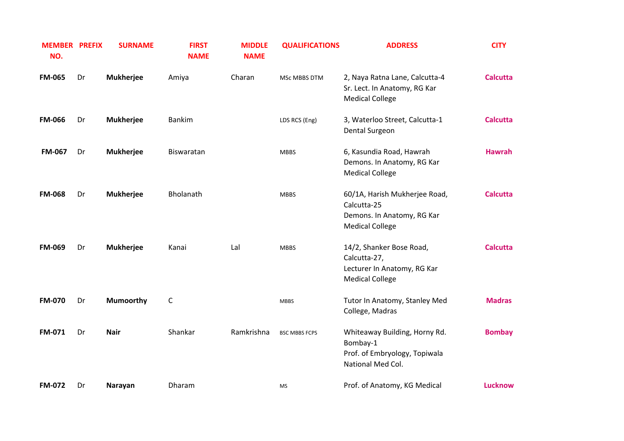| <b>MEMBER PREFIX</b><br>NO. |    | <b>SURNAME</b>   | <b>FIRST</b><br><b>NAME</b> | <b>MIDDLE</b><br><b>NAME</b> | <b>QUALIFICATIONS</b> | <b>ADDRESS</b>                                                                                       | <b>CITY</b>     |
|-----------------------------|----|------------------|-----------------------------|------------------------------|-----------------------|------------------------------------------------------------------------------------------------------|-----------------|
| <b>FM-065</b>               | Dr | <b>Mukherjee</b> | Amiya                       | Charan                       | MSc MBBS DTM          | 2, Naya Ratna Lane, Calcutta-4<br>Sr. Lect. In Anatomy, RG Kar<br><b>Medical College</b>             | <b>Calcutta</b> |
| <b>FM-066</b>               | Dr | <b>Mukherjee</b> | <b>Bankim</b>               |                              | LDS RCS (Eng)         | 3, Waterloo Street, Calcutta-1<br>Dental Surgeon                                                     | <b>Calcutta</b> |
| <b>FM-067</b>               | Dr | <b>Mukherjee</b> | Biswaratan                  |                              | <b>MBBS</b>           | 6, Kasundia Road, Hawrah<br>Demons. In Anatomy, RG Kar<br><b>Medical College</b>                     | <b>Hawrah</b>   |
| <b>FM-068</b>               | Dr | <b>Mukherjee</b> | Bholanath                   |                              | <b>MBBS</b>           | 60/1A, Harish Mukherjee Road,<br>Calcutta-25<br>Demons. In Anatomy, RG Kar<br><b>Medical College</b> | <b>Calcutta</b> |
| <b>FM-069</b>               | Dr | <b>Mukherjee</b> | Kanai                       | Lal                          | <b>MBBS</b>           | 14/2, Shanker Bose Road,<br>Calcutta-27,<br>Lecturer In Anatomy, RG Kar<br><b>Medical College</b>    | <b>Calcutta</b> |
| <b>FM-070</b>               | Dr | Mumoorthy        | C                           |                              | <b>MBBS</b>           | Tutor In Anatomy, Stanley Med<br>College, Madras                                                     | <b>Madras</b>   |
| <b>FM-071</b>               | Dr | <b>Nair</b>      | Shankar                     | Ramkrishna                   | <b>BSC MBBS FCPS</b>  | Whiteaway Building, Horny Rd.<br>Bombay-1<br>Prof. of Embryology, Topiwala<br>National Med Col.      | <b>Bombay</b>   |
| FM-072                      | Dr | Narayan          | Dharam                      |                              | MS                    | Prof. of Anatomy, KG Medical                                                                         | <b>Lucknow</b>  |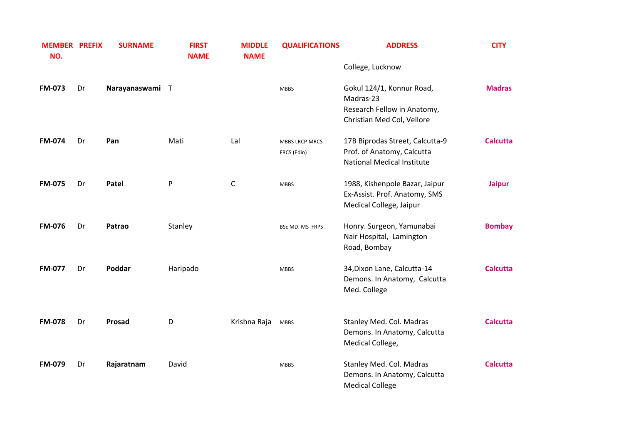| <b>MEMBER PREFIX</b><br>NO. |    | <b>SURNAME</b>  | <b>FIRST</b><br><b>NAME</b> | <b>MIDDLE</b><br><b>NAME</b> | <b>QUALIFICATIONS</b>                | <b>ADDRESS</b>                                                                                      | <b>CITY</b>     |
|-----------------------------|----|-----------------|-----------------------------|------------------------------|--------------------------------------|-----------------------------------------------------------------------------------------------------|-----------------|
|                             |    |                 |                             |                              |                                      | College, Lucknow                                                                                    |                 |
| <b>FM-073</b>               | Dr | Narayanaswami T |                             |                              | <b>MBBS</b>                          | Gokul 124/1, Konnur Road,<br>Madras-23<br>Research Fellow in Anatomy,<br>Christian Med Col, Vellore | <b>Madras</b>   |
| <b>FM-074</b>               | Dr | Pan             | Mati                        | Lal                          | <b>MBBS LRCP MRCS</b><br>FRCS (Edin) | 17B Biprodas Street, Calcutta-9<br>Prof. of Anatomy, Calcutta<br><b>National Medical Institute</b>  | <b>Calcutta</b> |
| <b>FM-075</b>               | Dr | Patel           | P                           | C                            | <b>MBBS</b>                          | 1988, Kishenpole Bazar, Jaipur<br>Ex-Assist. Prof. Anatomy, SMS<br>Medical College, Jaipur          | <b>Jaipur</b>   |
| <b>FM-076</b>               | Dr | Patrao          | Stanley                     |                              | BSc MD. MS FRPS                      | Honry. Surgeon, Yamunabai<br>Nair Hospital, Lamington<br>Road, Bombay                               | <b>Bombay</b>   |
| <b>FM-077</b>               | Dr | Poddar          | Haripado                    |                              | <b>MBBS</b>                          | 34, Dixon Lane, Calcutta-14<br>Demons. In Anatomy, Calcutta<br>Med. College                         | <b>Calcutta</b> |
| <b>FM-078</b>               | Dr | Prosad          | D                           | Krishna Raja                 | <b>MBBS</b>                          | Stanley Med. Col. Madras<br>Demons. In Anatomy, Calcutta<br>Medical College,                        | <b>Calcutta</b> |
| <b>FM-079</b>               | Dr | Rajaratnam      | David                       |                              | <b>MBBS</b>                          | Stanley Med. Col. Madras<br>Demons. In Anatomy, Calcutta<br><b>Medical College</b>                  | <b>Calcutta</b> |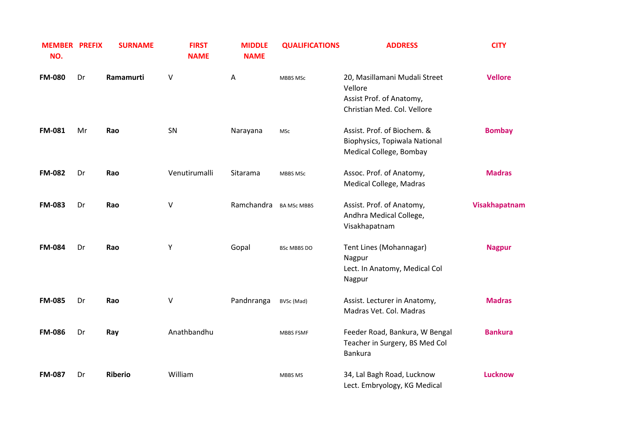| <b>MEMBER PREFIX</b><br>NO. |    | <b>SURNAME</b> | <b>FIRST</b><br><b>NAME</b> | <b>MIDDLE</b><br><b>NAME</b> | <b>QUALIFICATIONS</b> | <b>ADDRESS</b>                                                                                      | <b>CITY</b>    |
|-----------------------------|----|----------------|-----------------------------|------------------------------|-----------------------|-----------------------------------------------------------------------------------------------------|----------------|
| <b>FM-080</b>               | Dr | Ramamurti      | $\vee$                      | A                            | <b>MBBS MSC</b>       | 20, Masillamani Mudali Street<br>Vellore<br>Assist Prof. of Anatomy,<br>Christian Med. Col. Vellore | <b>Vellore</b> |
| <b>FM-081</b>               | Mr | Rao            | SN                          | Narayana                     | MSc                   | Assist. Prof. of Biochem. &<br>Biophysics, Topiwala National<br>Medical College, Bombay             | <b>Bombay</b>  |
| <b>FM-082</b>               | Dr | Rao            | Venutirumalli               | Sitarama                     | <b>MBBS MSC</b>       | Assoc. Prof. of Anatomy,<br>Medical College, Madras                                                 | <b>Madras</b>  |
| <b>FM-083</b>               | Dr | Rao            | V                           | Ramchandra                   | <b>BA MSc MBBS</b>    | Assist. Prof. of Anatomy,<br>Andhra Medical College,<br>Visakhapatnam                               | Visakhapatnam  |
| <b>FM-084</b>               | Dr | Rao            | Υ                           | Gopal                        | BSc MBBS DO           | Tent Lines (Mohannagar)<br>Nagpur<br>Lect. In Anatomy, Medical Col<br>Nagpur                        | <b>Nagpur</b>  |
| <b>FM-085</b>               | Dr | Rao            | V                           | Pandnranga                   | BVSc (Mad)            | Assist. Lecturer in Anatomy,<br>Madras Vet. Col. Madras                                             | <b>Madras</b>  |
| <b>FM-086</b>               | Dr | Ray            | Anathbandhu                 |                              | <b>MBBS FSMF</b>      | Feeder Road, Bankura, W Bengal<br>Teacher in Surgery, BS Med Col<br><b>Bankura</b>                  | <b>Bankura</b> |
| <b>FM-087</b>               | Dr | <b>Riberio</b> | William                     |                              | MBBS MS               | 34, Lal Bagh Road, Lucknow<br>Lect. Embryology, KG Medical                                          | <b>Lucknow</b> |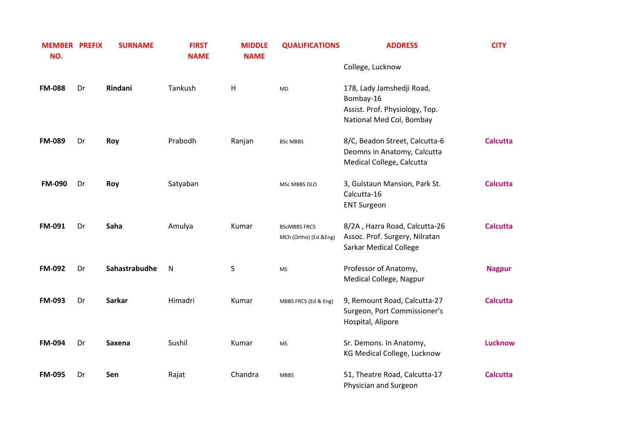| <b>MEMBER PREFIX</b><br>NO. |    | <b>SURNAME</b> | <b>FIRST</b><br><b>NAME</b> | <b>MIDDLE</b><br><b>NAME</b> | <b>QUALIFICATIONS</b>                        | <b>ADDRESS</b>                                                                                       | <b>CITY</b>     |
|-----------------------------|----|----------------|-----------------------------|------------------------------|----------------------------------------------|------------------------------------------------------------------------------------------------------|-----------------|
|                             |    |                |                             |                              |                                              | College, Lucknow                                                                                     |                 |
| <b>FM-088</b>               | Dr | Rindani        | Tankush                     | H                            | <b>MD</b>                                    | 178, Lady Jamshedji Road,<br>Bombay-16<br>Assist. Prof. Physiology, Top.<br>National Med Col, Bombay |                 |
| <b>FM-089</b>               | Dr | Roy            | Prabodh                     | Ranjan                       | <b>BSc MBBS</b>                              | 8/C, Beadon Street, Calcutta-6<br>Deomns in Anatomy, Calcutta<br>Medical College, Calcutta           | <b>Calcutta</b> |
| <b>FM-090</b>               | Dr | Roy            | Satyaban                    |                              | MSc MBBS DLO                                 | 3, Gulstaun Mansion, Park St.<br>Calcutta-16<br><b>ENT Surgeon</b>                                   | <b>Calcutta</b> |
| <b>FM-091</b>               | Dr | Saha           | Amulya                      | Kumar                        | <b>BSCMBBS FRCS</b><br>MCh (Ortho) (Ed &Eng) | 8/2A, Hazra Road, Calcutta-26<br>Assoc. Prof. Surgery, Nilratan<br><b>Sarkar Medical College</b>     | <b>Calcutta</b> |
| <b>FM-092</b>               | Dr | Sahastrabudhe  | ${\sf N}$                   | S                            | <b>MS</b>                                    | Professor of Anatomy,<br>Medical College, Nagpur                                                     | <b>Nagpur</b>   |
| <b>FM-093</b>               | Dr | <b>Sarkar</b>  | Himadri                     | Kumar                        | MBBS FRCS (Ed & Eng)                         | 9, Remount Road, Calcutta-27<br>Surgeon, Port Commissioner's<br>Hospital, Alipore                    | <b>Calcutta</b> |
| <b>FM-094</b>               | Dr | <b>Saxena</b>  | Sushil                      | Kumar                        | <b>MS</b>                                    | Sr. Demons. In Anatomy,<br>KG Medical College, Lucknow                                               | <b>Lucknow</b>  |
| <b>FM-095</b>               | Dr | Sen            | Rajat                       | Chandra                      | <b>MBBS</b>                                  | 51, Theatre Road, Calcutta-17<br>Physician and Surgeon                                               | <b>Calcutta</b> |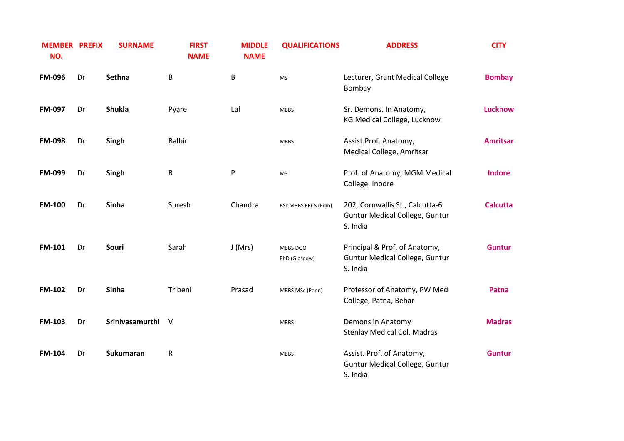| <b>MEMBER PREFIX</b><br>NO. |    | <b>SURNAME</b>    | <b>FIRST</b><br><b>NAME</b> | <b>MIDDLE</b><br><b>NAME</b> | <b>QUALIFICATIONS</b>       | <b>ADDRESS</b>                                                                       | <b>CITY</b>     |
|-----------------------------|----|-------------------|-----------------------------|------------------------------|-----------------------------|--------------------------------------------------------------------------------------|-----------------|
| <b>FM-096</b>               | Dr | Sethna            | B                           | B                            | <b>MS</b>                   | Lecturer, Grant Medical College<br>Bombay                                            | <b>Bombay</b>   |
| FM-097                      | Dr | <b>Shukla</b>     | Pyare                       | Lal                          | <b>MBBS</b>                 | Sr. Demons. In Anatomy,<br>KG Medical College, Lucknow                               | <b>Lucknow</b>  |
| <b>FM-098</b>               | Dr | Singh             | <b>Balbir</b>               |                              | <b>MBBS</b>                 | Assist.Prof. Anatomy,<br>Medical College, Amritsar                                   | <b>Amritsar</b> |
| FM-099                      | Dr | Singh             | $\mathsf R$                 | P                            | <b>MS</b>                   | Prof. of Anatomy, MGM Medical<br>College, Inodre                                     | <b>Indore</b>   |
| <b>FM-100</b>               | Dr | Sinha             | Suresh                      | Chandra                      | <b>BSc MBBS FRCS (Edin)</b> | 202, Cornwallis St., Calcutta-6<br><b>Guntur Medical College, Guntur</b><br>S. India | <b>Calcutta</b> |
| <b>FM-101</b>               | Dr | Souri             | Sarah                       | J(Mrs)                       | MBBS DGO<br>PhD (Glasgow)   | Principal & Prof. of Anatomy,<br><b>Guntur Medical College, Guntur</b><br>S. India   | <b>Guntur</b>   |
| FM-102                      | Dr | Sinha             | Tribeni                     | Prasad                       | MBBS MSc (Penn)             | Professor of Anatomy, PW Med<br>College, Patna, Behar                                | Patna           |
| <b>FM-103</b>               | Dr | Srinivasamurthi V |                             |                              | <b>MBBS</b>                 | Demons in Anatomy<br>Stenlay Medical Col, Madras                                     | <b>Madras</b>   |
| <b>FM-104</b>               | Dr | <b>Sukumaran</b>  | ${\sf R}$                   |                              | <b>MBBS</b>                 | Assist. Prof. of Anatomy,<br><b>Guntur Medical College, Guntur</b><br>S. India       | <b>Guntur</b>   |